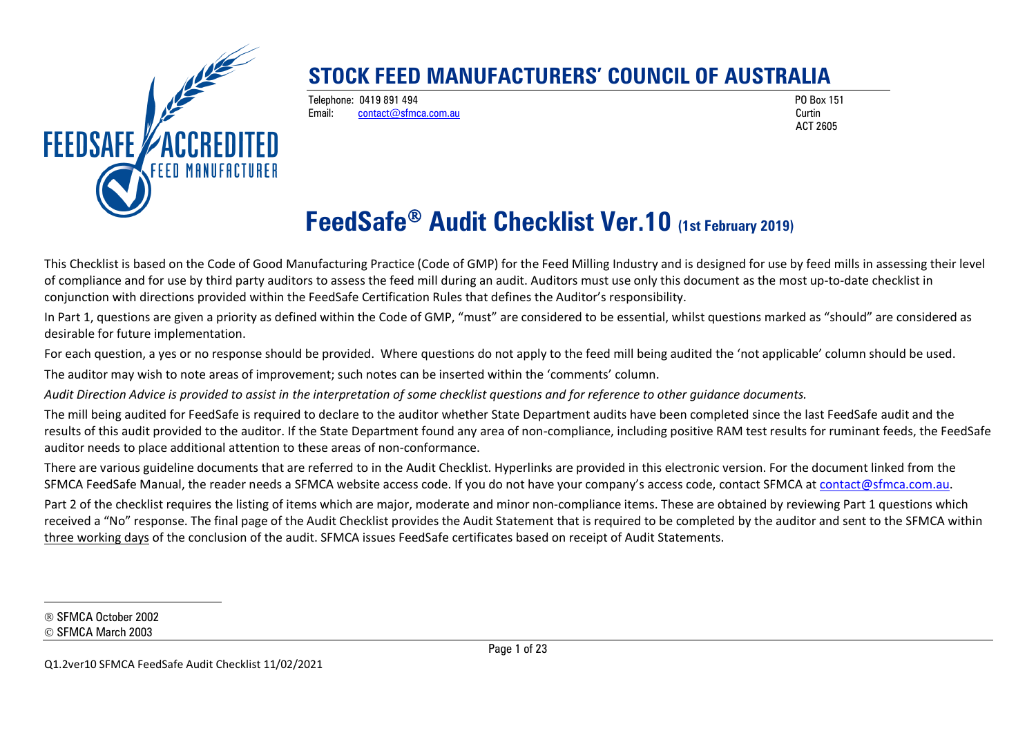

#### **STOCK FEED MANUFACTURERS' COUNCIL OF AUSTRALIA**

Telephone: 0419 891 494 PO Box 151 Email: [contact@sfmca.com.au](mailto:contact@sfmca.com.au) Curtin

<span id="page-0-0"></span>ACT 2605

# **FeedSafe Audit Checklist Ver.10 (1st February 2019)**

This Checklist is based on the Code of Good Manufacturing Practice (Code of GMP) for the Feed Milling Industry and is designed for use by feed mills in assessing their level of compliance and for use by third party auditors to assess the feed mill during an audit. Auditors must use only this document as the most up-to-date checklist in conjunction with directions provided within the FeedSafe Certification Rules that defines the Auditor's responsibility.

In Part 1, questions are given a priority as defined within the Code of GMP, "must" are considered to be essential, whilst questions marked as "should" are considered as desirable for future implementation.

For each question, a yes or no response should be provided. Where questions do not apply to the feed mill being audited the 'not applicable' column should be used. The auditor may wish to note areas of improvement; such notes can be inserted within the 'comments' column.

*Audit Direction Advice is provided to assist in the interpretation of some checklist questions and for reference to other guidance documents.*

The mill being audited for FeedSafe is required to declare to the auditor whether State Department audits have been completed since the last FeedSafe audit and the results of this audit provided to the auditor. If the State Department found any area of non-compliance, including positive RAM test results for ruminant feeds, the FeedSafe auditor needs to place additional attention to these areas of non-conformance.

There are various guideline documents that are referred to in the Audit Checklist. Hyperlinks are provided in this electronic version. For the document linked from the SFMCA FeedSafe Manual, the reader needs a SFMCA website access code. If you do not have your company's access code, contact SFMCA at [contact@sfmca.com.au.](mailto:contact@sfmca.com.au)

Part 2 of the checklist requires the listing of items which are major, moderate and minor non-compliance items. These are obtained by reviewing Part 1 questions which received a "No" response. The final page of the Audit Checklist provides the Audit Statement that is required to be completed by the auditor and sent to the SFMCA within three working days of the conclusion of the audit. SFMCA issues FeedSafe certificates based on receipt of Audit Statements.

SFMCA October 2002

© SFMCA March 2003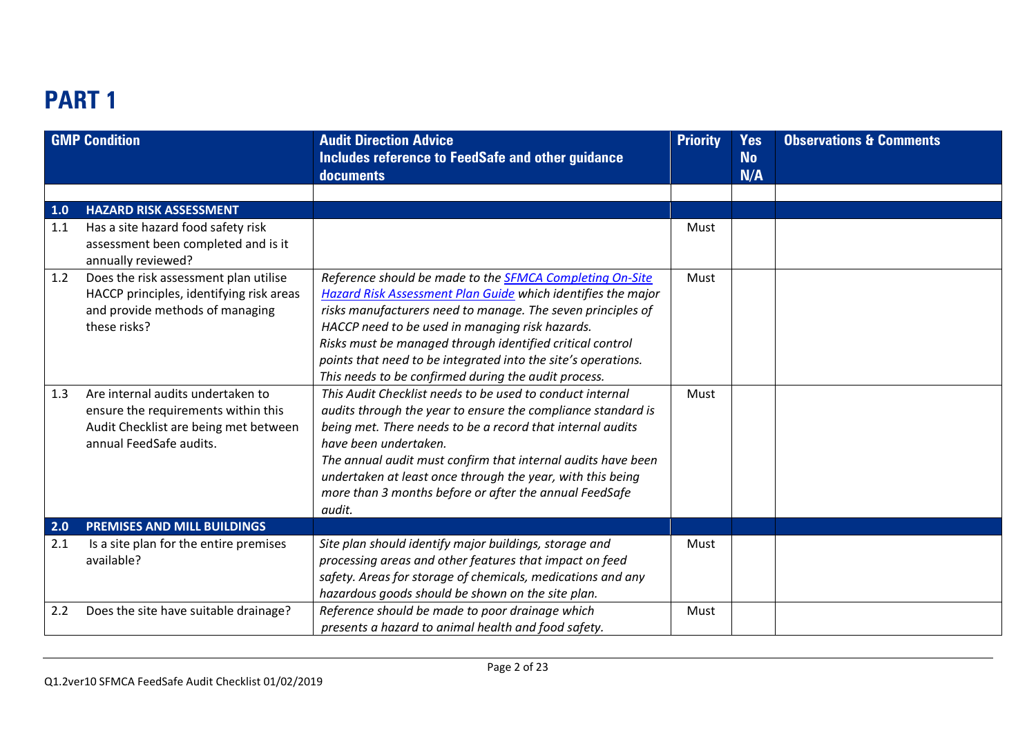## **PART 1**

|     | <b>GMP Condition</b>                                                                                                                         | <b>Audit Direction Advice</b><br>Includes reference to FeedSafe and other guidance<br>documents                                                                                                                                                                                                                                                                                                                                         | <b>Priority</b> | <b>Yes</b><br><b>No</b><br>N/A | <b>Observations &amp; Comments</b> |
|-----|----------------------------------------------------------------------------------------------------------------------------------------------|-----------------------------------------------------------------------------------------------------------------------------------------------------------------------------------------------------------------------------------------------------------------------------------------------------------------------------------------------------------------------------------------------------------------------------------------|-----------------|--------------------------------|------------------------------------|
| 1.0 | <b>HAZARD RISK ASSESSMENT</b>                                                                                                                |                                                                                                                                                                                                                                                                                                                                                                                                                                         |                 |                                |                                    |
| 1.1 | Has a site hazard food safety risk<br>assessment been completed and is it<br>annually reviewed?                                              |                                                                                                                                                                                                                                                                                                                                                                                                                                         | Must            |                                |                                    |
| 1.2 | Does the risk assessment plan utilise<br>HACCP principles, identifying risk areas<br>and provide methods of managing<br>these risks?         | Reference should be made to the <b>SFMCA Completing On-Site</b><br>Hazard Risk Assessment Plan Guide which identifies the major<br>risks manufacturers need to manage. The seven principles of<br>HACCP need to be used in managing risk hazards.<br>Risks must be managed through identified critical control<br>points that need to be integrated into the site's operations.<br>This needs to be confirmed during the audit process. | Must            |                                |                                    |
| 1.3 | Are internal audits undertaken to<br>ensure the requirements within this<br>Audit Checklist are being met between<br>annual FeedSafe audits. | This Audit Checklist needs to be used to conduct internal<br>audits through the year to ensure the compliance standard is<br>being met. There needs to be a record that internal audits<br>have been undertaken.<br>The annual audit must confirm that internal audits have been<br>undertaken at least once through the year, with this being<br>more than 3 months before or after the annual FeedSafe<br>audit.                      | Must            |                                |                                    |
| 2.0 | <b>PREMISES AND MILL BUILDINGS</b>                                                                                                           |                                                                                                                                                                                                                                                                                                                                                                                                                                         |                 |                                |                                    |
| 2.1 | Is a site plan for the entire premises<br>available?                                                                                         | Site plan should identify major buildings, storage and<br>processing areas and other features that impact on feed<br>safety. Areas for storage of chemicals, medications and any<br>hazardous goods should be shown on the site plan.                                                                                                                                                                                                   | Must            |                                |                                    |
| 2.2 | Does the site have suitable drainage?                                                                                                        | Reference should be made to poor drainage which<br>presents a hazard to animal health and food safety.                                                                                                                                                                                                                                                                                                                                  | Must            |                                |                                    |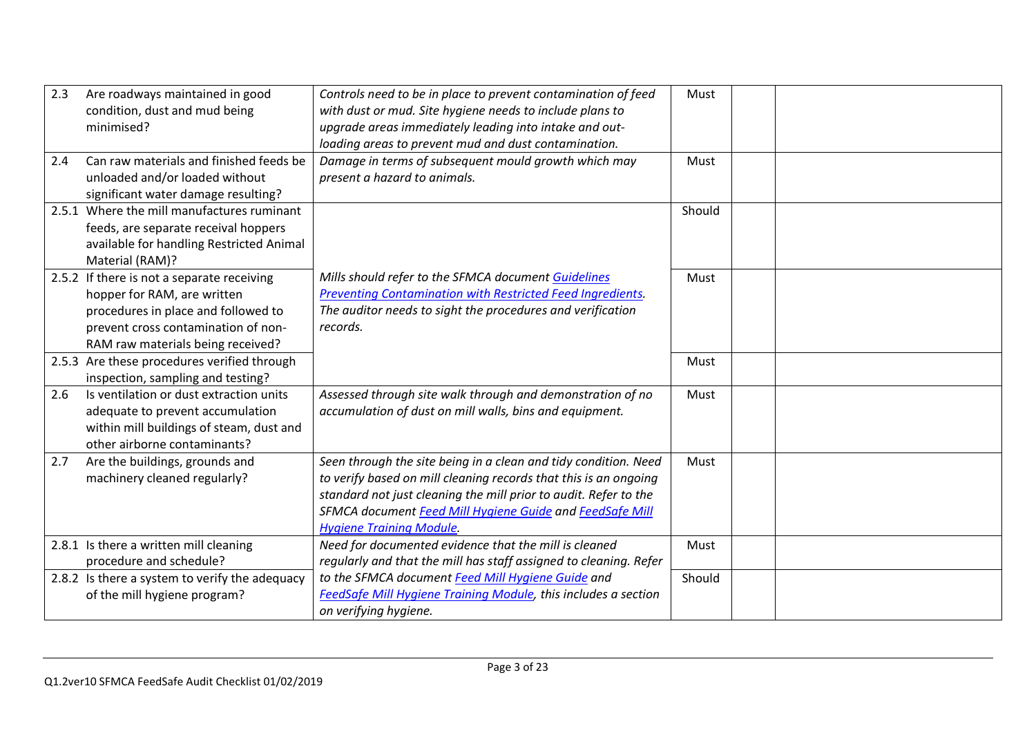| 2.3 | Are roadways maintained in good<br>condition, dust and mud being<br>minimised?                                                                                                               | Controls need to be in place to prevent contamination of feed<br>with dust or mud. Site hygiene needs to include plans to<br>upgrade areas immediately leading into intake and out-                                                                                                                    | Must   |  |
|-----|----------------------------------------------------------------------------------------------------------------------------------------------------------------------------------------------|--------------------------------------------------------------------------------------------------------------------------------------------------------------------------------------------------------------------------------------------------------------------------------------------------------|--------|--|
| 2.4 | Can raw materials and finished feeds be<br>unloaded and/or loaded without<br>significant water damage resulting?                                                                             | loading areas to prevent mud and dust contamination.<br>Damage in terms of subsequent mould growth which may<br>present a hazard to animals.                                                                                                                                                           | Must   |  |
|     | 2.5.1 Where the mill manufactures ruminant<br>feeds, are separate receival hoppers<br>available for handling Restricted Animal<br>Material (RAM)?                                            |                                                                                                                                                                                                                                                                                                        | Should |  |
|     | 2.5.2 If there is not a separate receiving<br>hopper for RAM, are written<br>procedures in place and followed to<br>prevent cross contamination of non-<br>RAM raw materials being received? | Mills should refer to the SFMCA document Guidelines<br>Preventing Contamination with Restricted Feed Ingredients.<br>The auditor needs to sight the procedures and verification<br>records.                                                                                                            | Must   |  |
|     | 2.5.3 Are these procedures verified through<br>inspection, sampling and testing?                                                                                                             |                                                                                                                                                                                                                                                                                                        | Must   |  |
| 2.6 | Is ventilation or dust extraction units<br>adequate to prevent accumulation<br>within mill buildings of steam, dust and<br>other airborne contaminants?                                      | Assessed through site walk through and demonstration of no<br>accumulation of dust on mill walls, bins and equipment.                                                                                                                                                                                  | Must   |  |
| 2.7 | Are the buildings, grounds and<br>machinery cleaned regularly?                                                                                                                               | Seen through the site being in a clean and tidy condition. Need<br>to verify based on mill cleaning records that this is an ongoing<br>standard not just cleaning the mill prior to audit. Refer to the<br>SFMCA document Feed Mill Hygiene Guide and FeedSafe Mill<br><b>Hygiene Training Module.</b> | Must   |  |
|     | 2.8.1 Is there a written mill cleaning<br>procedure and schedule?                                                                                                                            | Need for documented evidence that the mill is cleaned<br>regularly and that the mill has staff assigned to cleaning. Refer                                                                                                                                                                             | Must   |  |
|     | 2.8.2 Is there a system to verify the adequacy<br>of the mill hygiene program?                                                                                                               | to the SFMCA document Feed Mill Hygiene Guide and<br>FeedSafe Mill Hygiene Training Module, this includes a section<br>on verifying hygiene.                                                                                                                                                           | Should |  |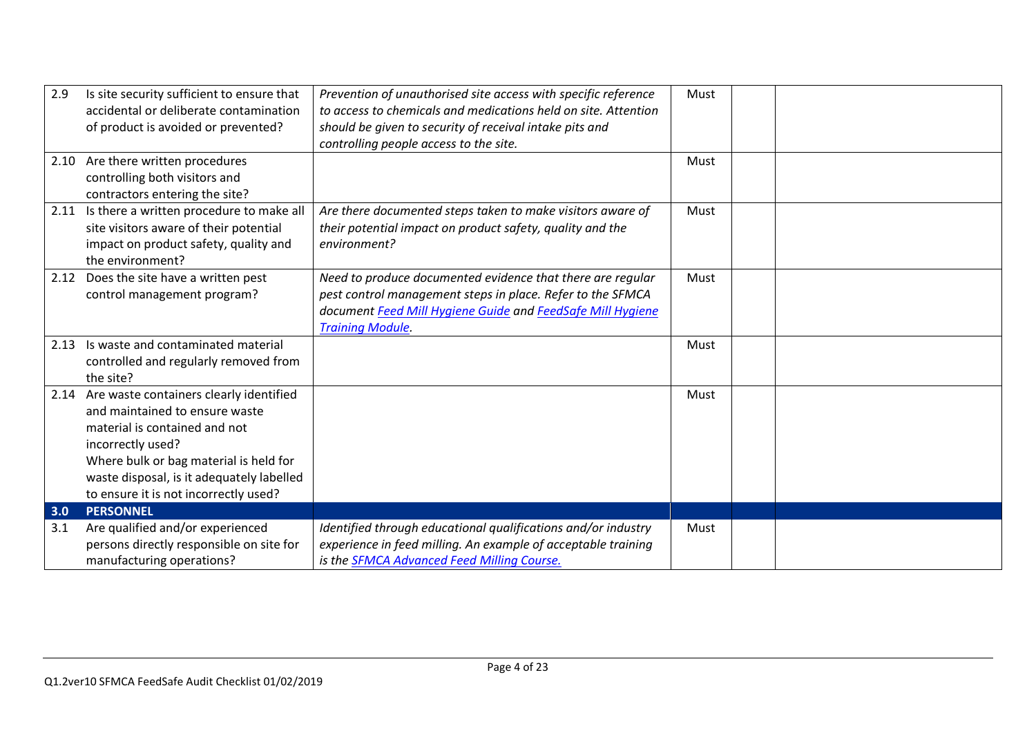| 2.9        | Is site security sufficient to ensure that<br>accidental or deliberate contamination<br>of product is avoided or prevented?                                                                                                                                          | Prevention of unauthorised site access with specific reference<br>to access to chemicals and medications held on site. Attention<br>should be given to security of receival intake pits and<br>controlling people access to the site. | Must |  |
|------------|----------------------------------------------------------------------------------------------------------------------------------------------------------------------------------------------------------------------------------------------------------------------|---------------------------------------------------------------------------------------------------------------------------------------------------------------------------------------------------------------------------------------|------|--|
|            | 2.10 Are there written procedures<br>controlling both visitors and<br>contractors entering the site?                                                                                                                                                                 |                                                                                                                                                                                                                                       | Must |  |
| 2.11       | Is there a written procedure to make all<br>site visitors aware of their potential<br>impact on product safety, quality and<br>the environment?                                                                                                                      | Are there documented steps taken to make visitors aware of<br>their potential impact on product safety, quality and the<br>environment?                                                                                               | Must |  |
|            | 2.12 Does the site have a written pest<br>control management program?                                                                                                                                                                                                | Need to produce documented evidence that there are regular<br>pest control management steps in place. Refer to the SFMCA<br>document Feed Mill Hygiene Guide and FeedSafe Mill Hygiene<br><b>Training Module.</b>                     | Must |  |
| 2.13       | Is waste and contaminated material<br>controlled and regularly removed from<br>the site?                                                                                                                                                                             |                                                                                                                                                                                                                                       | Must |  |
|            | 2.14 Are waste containers clearly identified<br>and maintained to ensure waste<br>material is contained and not<br>incorrectly used?<br>Where bulk or bag material is held for<br>waste disposal, is it adequately labelled<br>to ensure it is not incorrectly used? |                                                                                                                                                                                                                                       | Must |  |
| 3.0<br>3.1 | <b>PERSONNEL</b><br>Are qualified and/or experienced<br>persons directly responsible on site for<br>manufacturing operations?                                                                                                                                        | Identified through educational qualifications and/or industry<br>experience in feed milling. An example of acceptable training<br>is the SFMCA Advanced Feed Milling Course.                                                          | Must |  |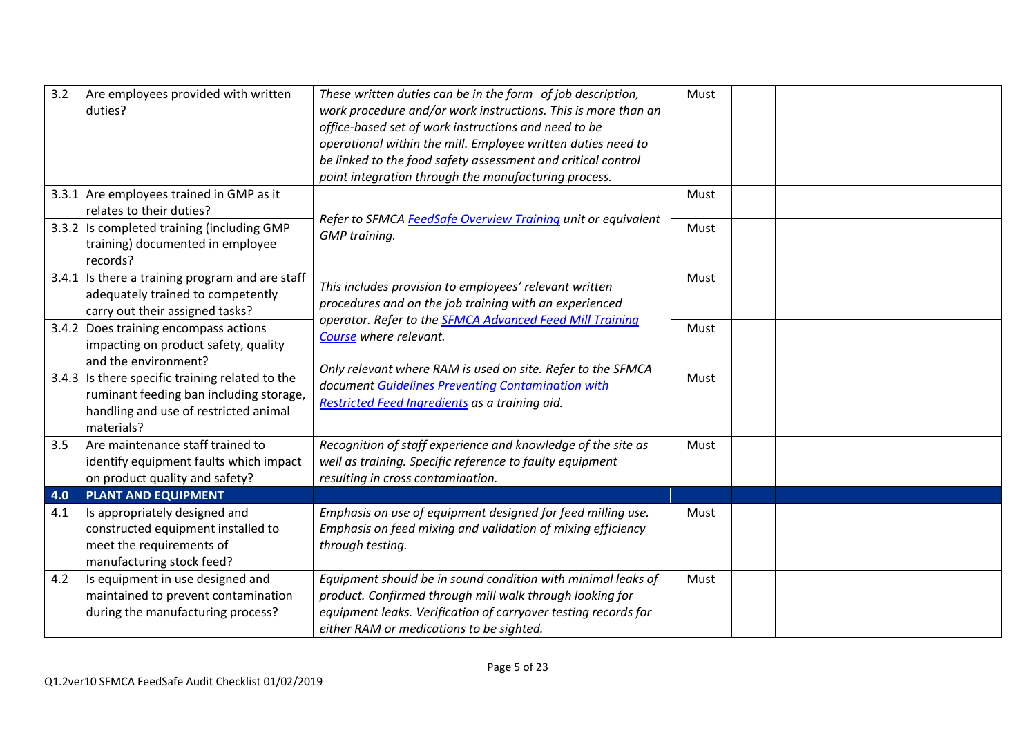| 3.2 | Are employees provided with written<br>duties?                                                                                                    | These written duties can be in the form of job description,<br>work procedure and/or work instructions. This is more than an<br>office-based set of work instructions and need to be<br>operational within the mill. Employee written duties need to<br>be linked to the food safety assessment and critical control<br>point integration through the manufacturing process. | Must |  |
|-----|---------------------------------------------------------------------------------------------------------------------------------------------------|------------------------------------------------------------------------------------------------------------------------------------------------------------------------------------------------------------------------------------------------------------------------------------------------------------------------------------------------------------------------------|------|--|
|     | 3.3.1 Are employees trained in GMP as it<br>relates to their duties?                                                                              |                                                                                                                                                                                                                                                                                                                                                                              | Must |  |
|     | 3.3.2 Is completed training (including GMP<br>training) documented in employee<br>records?                                                        | Refer to SFMCA FeedSafe Overview Training unit or equivalent<br><b>GMP</b> training.                                                                                                                                                                                                                                                                                         | Must |  |
|     | 3.4.1 Is there a training program and are staff<br>adequately trained to competently<br>carry out their assigned tasks?                           | This includes provision to employees' relevant written<br>procedures and on the job training with an experienced<br>operator. Refer to the <b>SFMCA Advanced Feed Mill Training</b>                                                                                                                                                                                          | Must |  |
|     | 3.4.2 Does training encompass actions<br>impacting on product safety, quality<br>and the environment?                                             | Course where relevant.                                                                                                                                                                                                                                                                                                                                                       | Must |  |
|     | 3.4.3 Is there specific training related to the<br>ruminant feeding ban including storage,<br>handling and use of restricted animal<br>materials? | Only relevant where RAM is used on site. Refer to the SFMCA<br>document Guidelines Preventing Contamination with<br>Restricted Feed Ingredients as a training aid.                                                                                                                                                                                                           | Must |  |
| 3.5 | Are maintenance staff trained to<br>identify equipment faults which impact<br>on product quality and safety?                                      | Recognition of staff experience and knowledge of the site as<br>well as training. Specific reference to faulty equipment<br>resulting in cross contamination.                                                                                                                                                                                                                | Must |  |
| 4.0 | <b>PLANT AND EQUIPMENT</b>                                                                                                                        |                                                                                                                                                                                                                                                                                                                                                                              |      |  |
| 4.1 | Is appropriately designed and<br>constructed equipment installed to<br>meet the requirements of<br>manufacturing stock feed?                      | Emphasis on use of equipment designed for feed milling use.<br>Emphasis on feed mixing and validation of mixing efficiency<br>through testing.                                                                                                                                                                                                                               | Must |  |
| 4.2 | Is equipment in use designed and<br>maintained to prevent contamination<br>during the manufacturing process?                                      | Equipment should be in sound condition with minimal leaks of<br>product. Confirmed through mill walk through looking for<br>equipment leaks. Verification of carryover testing records for<br>either RAM or medications to be sighted.                                                                                                                                       | Must |  |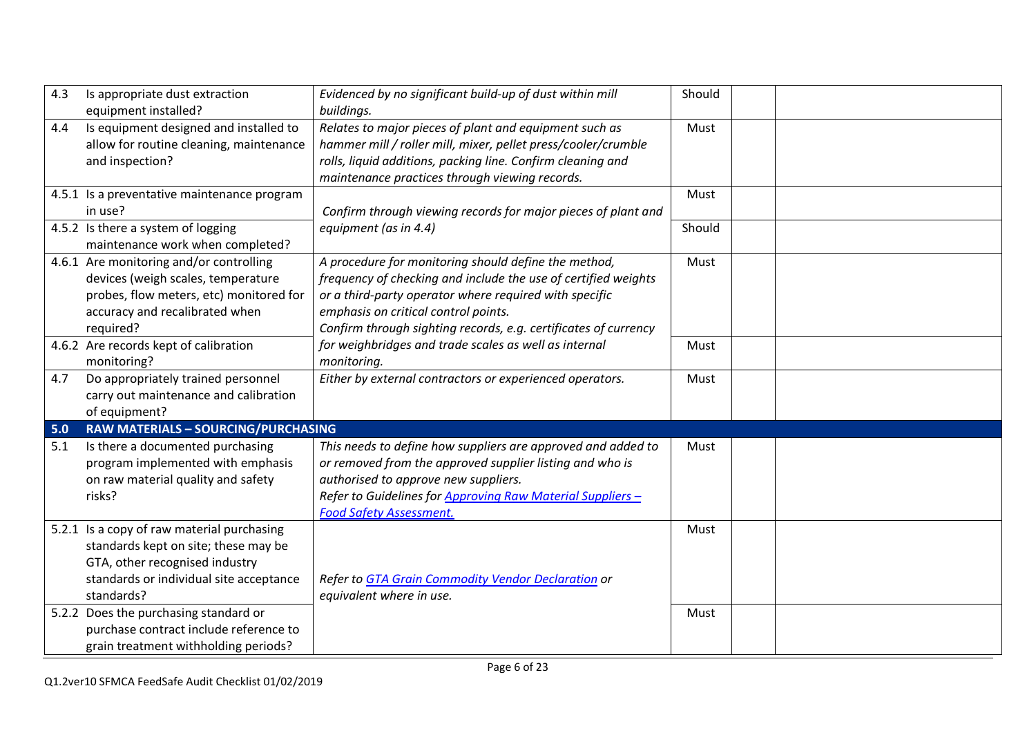| 4.3 | Is appropriate dust extraction                                                                                                                                                | Evidenced by no significant build-up of dust within mill                                                                                                                                                                                                                                    | Should |  |
|-----|-------------------------------------------------------------------------------------------------------------------------------------------------------------------------------|---------------------------------------------------------------------------------------------------------------------------------------------------------------------------------------------------------------------------------------------------------------------------------------------|--------|--|
|     | equipment installed?                                                                                                                                                          | buildings.                                                                                                                                                                                                                                                                                  |        |  |
| 4.4 | Is equipment designed and installed to<br>allow for routine cleaning, maintenance<br>and inspection?                                                                          | Relates to major pieces of plant and equipment such as<br>hammer mill / roller mill, mixer, pellet press/cooler/crumble<br>rolls, liquid additions, packing line. Confirm cleaning and                                                                                                      | Must   |  |
|     |                                                                                                                                                                               | maintenance practices through viewing records.                                                                                                                                                                                                                                              |        |  |
|     | 4.5.1 Is a preventative maintenance program<br>in use?                                                                                                                        | Confirm through viewing records for major pieces of plant and                                                                                                                                                                                                                               | Must   |  |
|     | 4.5.2 Is there a system of logging<br>maintenance work when completed?                                                                                                        | equipment (as in 4.4)                                                                                                                                                                                                                                                                       | Should |  |
|     | 4.6.1 Are monitoring and/or controlling<br>devices (weigh scales, temperature<br>probes, flow meters, etc) monitored for<br>accuracy and recalibrated when<br>required?       | A procedure for monitoring should define the method,<br>frequency of checking and include the use of certified weights<br>or a third-party operator where required with specific<br>emphasis on critical control points.<br>Confirm through sighting records, e.g. certificates of currency | Must   |  |
|     | 4.6.2 Are records kept of calibration<br>monitoring?                                                                                                                          | for weighbridges and trade scales as well as internal<br>monitoring.                                                                                                                                                                                                                        | Must   |  |
| 4.7 | Do appropriately trained personnel<br>carry out maintenance and calibration<br>of equipment?                                                                                  | Either by external contractors or experienced operators.                                                                                                                                                                                                                                    | Must   |  |
| 5.0 | <b>RAW MATERIALS - SOURCING/PURCHASING</b>                                                                                                                                    |                                                                                                                                                                                                                                                                                             |        |  |
| 5.1 | Is there a documented purchasing<br>program implemented with emphasis<br>on raw material quality and safety<br>risks?                                                         | This needs to define how suppliers are approved and added to<br>or removed from the approved supplier listing and who is<br>authorised to approve new suppliers.<br>Refer to Guidelines for Approving Raw Material Suppliers -<br><b>Food Safety Assessment.</b>                            | Must   |  |
|     | 5.2.1 Is a copy of raw material purchasing<br>standards kept on site; these may be<br>GTA, other recognised industry<br>standards or individual site acceptance<br>standards? | Refer to GTA Grain Commodity Vendor Declaration or<br>equivalent where in use.                                                                                                                                                                                                              | Must   |  |
|     | 5.2.2 Does the purchasing standard or<br>purchase contract include reference to<br>grain treatment withholding periods?                                                       |                                                                                                                                                                                                                                                                                             | Must   |  |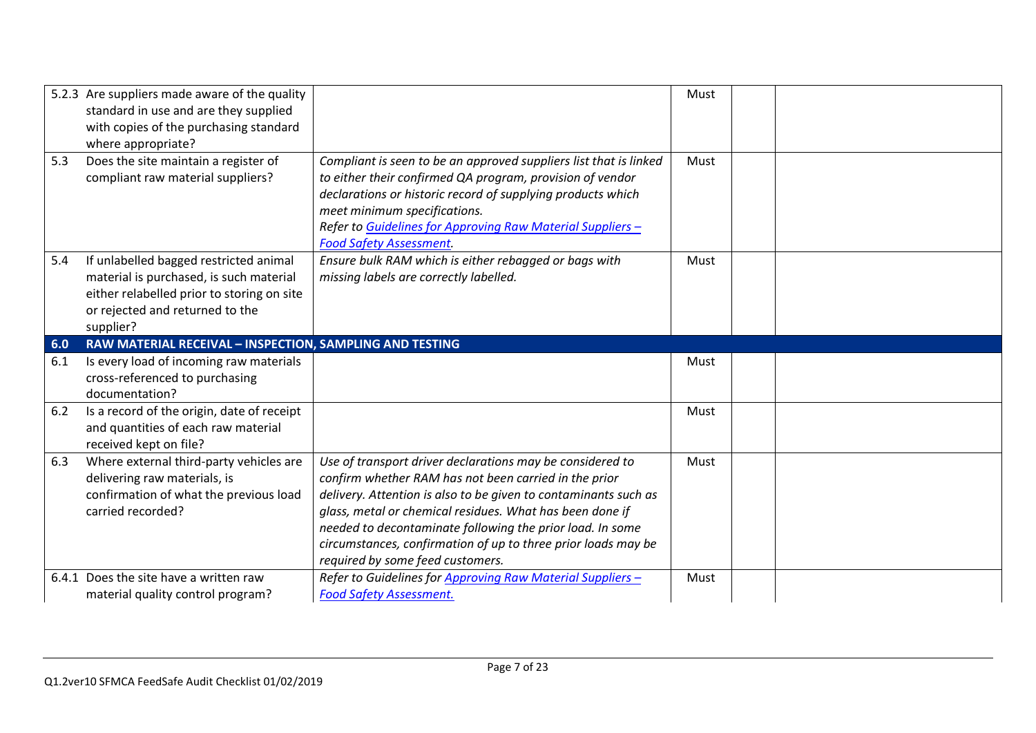|     | 5.2.3 Are suppliers made aware of the quality<br>standard in use and are they supplied<br>with copies of the purchasing standard<br>where appropriate?                          |                                                                                                                                                                                                                                                                                                                                                                                                                     | Must |  |
|-----|---------------------------------------------------------------------------------------------------------------------------------------------------------------------------------|---------------------------------------------------------------------------------------------------------------------------------------------------------------------------------------------------------------------------------------------------------------------------------------------------------------------------------------------------------------------------------------------------------------------|------|--|
| 5.3 | Does the site maintain a register of<br>compliant raw material suppliers?                                                                                                       | Compliant is seen to be an approved suppliers list that is linked<br>to either their confirmed QA program, provision of vendor<br>declarations or historic record of supplying products which<br>meet minimum specifications.<br>Refer to Guidelines for Approving Raw Material Suppliers -<br><b>Food Safety Assessment.</b>                                                                                       | Must |  |
| 5.4 | If unlabelled bagged restricted animal<br>material is purchased, is such material<br>either relabelled prior to storing on site<br>or rejected and returned to the<br>supplier? | Ensure bulk RAM which is either rebagged or bags with<br>missing labels are correctly labelled.                                                                                                                                                                                                                                                                                                                     | Must |  |
| 6.0 | RAW MATERIAL RECEIVAL - INSPECTION, SAMPLING AND TESTING                                                                                                                        |                                                                                                                                                                                                                                                                                                                                                                                                                     |      |  |
| 6.1 | Is every load of incoming raw materials<br>cross-referenced to purchasing<br>documentation?                                                                                     |                                                                                                                                                                                                                                                                                                                                                                                                                     | Must |  |
| 6.2 | Is a record of the origin, date of receipt<br>and quantities of each raw material<br>received kept on file?                                                                     |                                                                                                                                                                                                                                                                                                                                                                                                                     | Must |  |
| 6.3 | Where external third-party vehicles are<br>delivering raw materials, is<br>confirmation of what the previous load<br>carried recorded?                                          | Use of transport driver declarations may be considered to<br>confirm whether RAM has not been carried in the prior<br>delivery. Attention is also to be given to contaminants such as<br>glass, metal or chemical residues. What has been done if<br>needed to decontaminate following the prior load. In some<br>circumstances, confirmation of up to three prior loads may be<br>required by some feed customers. | Must |  |
|     | 6.4.1 Does the site have a written raw<br>material quality control program?                                                                                                     | Refer to Guidelines for Approving Raw Material Suppliers -<br><b>Food Safety Assessment.</b>                                                                                                                                                                                                                                                                                                                        | Must |  |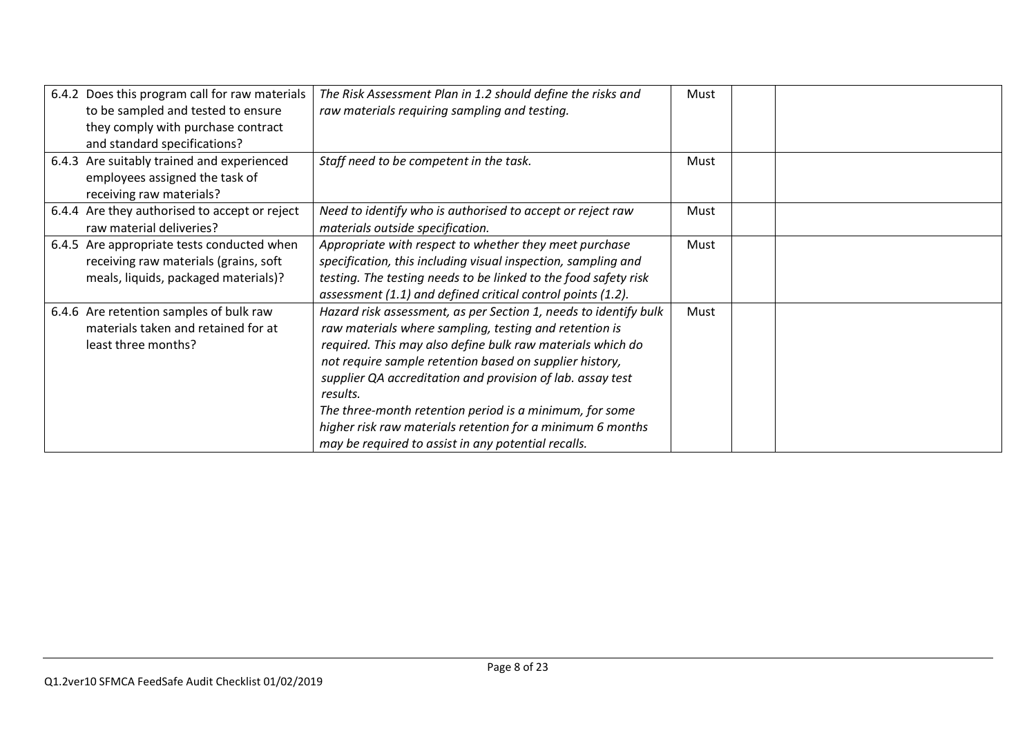| 6.4.2 Does this program call for raw materials<br>to be sampled and tested to ensure<br>they comply with purchase contract<br>and standard specifications? | The Risk Assessment Plan in 1.2 should define the risks and<br>raw materials requiring sampling and testing.                                                                                                                                                                                                                                                                                                                                                                                                  | Must |  |
|------------------------------------------------------------------------------------------------------------------------------------------------------------|---------------------------------------------------------------------------------------------------------------------------------------------------------------------------------------------------------------------------------------------------------------------------------------------------------------------------------------------------------------------------------------------------------------------------------------------------------------------------------------------------------------|------|--|
| 6.4.3 Are suitably trained and experienced<br>employees assigned the task of<br>receiving raw materials?                                                   | Staff need to be competent in the task.                                                                                                                                                                                                                                                                                                                                                                                                                                                                       | Must |  |
| 6.4.4 Are they authorised to accept or reject<br>raw material deliveries?                                                                                  | Need to identify who is authorised to accept or reject raw<br>materials outside specification.                                                                                                                                                                                                                                                                                                                                                                                                                | Must |  |
| 6.4.5 Are appropriate tests conducted when<br>receiving raw materials (grains, soft<br>meals, liquids, packaged materials)?                                | Appropriate with respect to whether they meet purchase<br>specification, this including visual inspection, sampling and<br>testing. The testing needs to be linked to the food safety risk<br>assessment (1.1) and defined critical control points (1.2).                                                                                                                                                                                                                                                     | Must |  |
| 6.4.6 Are retention samples of bulk raw<br>materials taken and retained for at<br>least three months?                                                      | Hazard risk assessment, as per Section 1, needs to identify bulk<br>raw materials where sampling, testing and retention is<br>required. This may also define bulk raw materials which do<br>not require sample retention based on supplier history,<br>supplier QA accreditation and provision of lab. assay test<br>results.<br>The three-month retention period is a minimum, for some<br>higher risk raw materials retention for a minimum 6 months<br>may be required to assist in any potential recalls. | Must |  |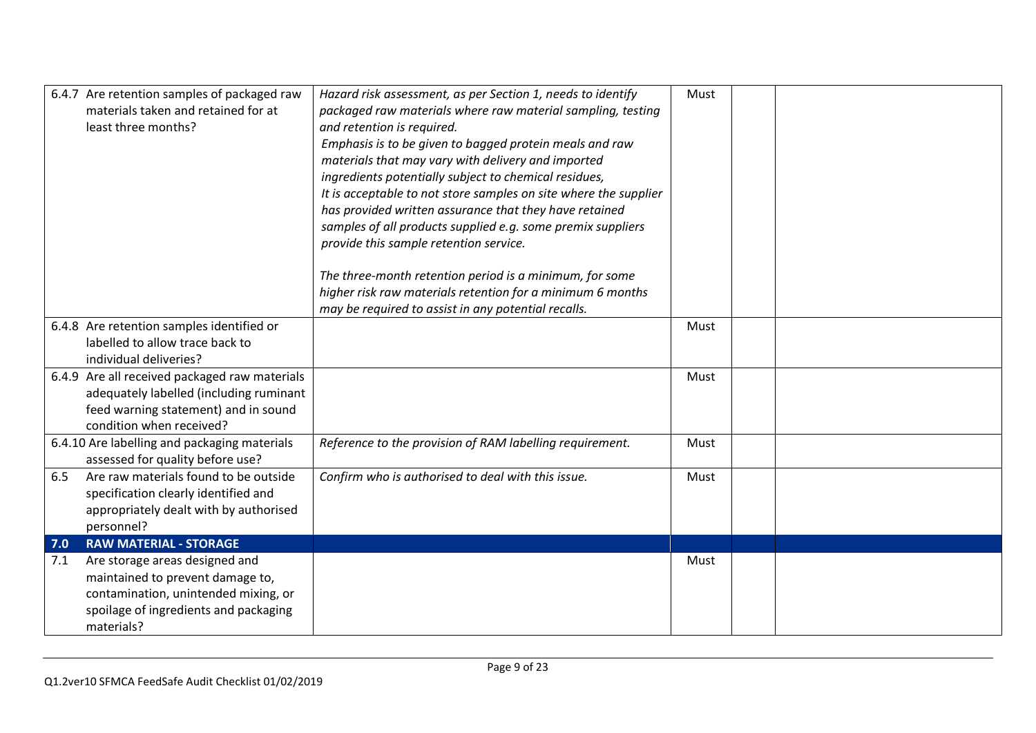|     | 6.4.7 Are retention samples of packaged raw                                      | Hazard risk assessment, as per Section 1, needs to identify      | Must |  |
|-----|----------------------------------------------------------------------------------|------------------------------------------------------------------|------|--|
|     | materials taken and retained for at                                              | packaged raw materials where raw material sampling, testing      |      |  |
|     | least three months?                                                              | and retention is required.                                       |      |  |
|     |                                                                                  | Emphasis is to be given to bagged protein meals and raw          |      |  |
|     |                                                                                  | materials that may vary with delivery and imported               |      |  |
|     |                                                                                  | ingredients potentially subject to chemical residues,            |      |  |
|     |                                                                                  | It is acceptable to not store samples on site where the supplier |      |  |
|     |                                                                                  | has provided written assurance that they have retained           |      |  |
|     |                                                                                  | samples of all products supplied e.g. some premix suppliers      |      |  |
|     |                                                                                  | provide this sample retention service.                           |      |  |
|     |                                                                                  | The three-month retention period is a minimum, for some          |      |  |
|     |                                                                                  | higher risk raw materials retention for a minimum 6 months       |      |  |
|     |                                                                                  | may be required to assist in any potential recalls.              |      |  |
|     | 6.4.8 Are retention samples identified or                                        |                                                                  | Must |  |
|     | labelled to allow trace back to                                                  |                                                                  |      |  |
|     | individual deliveries?                                                           |                                                                  |      |  |
|     | 6.4.9 Are all received packaged raw materials                                    |                                                                  | Must |  |
|     | adequately labelled (including ruminant                                          |                                                                  |      |  |
|     | feed warning statement) and in sound                                             |                                                                  |      |  |
|     | condition when received?                                                         |                                                                  |      |  |
|     | 6.4.10 Are labelling and packaging materials<br>assessed for quality before use? | Reference to the provision of RAM labelling requirement.         | Must |  |
| 6.5 | Are raw materials found to be outside                                            | Confirm who is authorised to deal with this issue.               | Must |  |
|     | specification clearly identified and                                             |                                                                  |      |  |
|     | appropriately dealt with by authorised                                           |                                                                  |      |  |
|     | personnel?                                                                       |                                                                  |      |  |
| 7.0 | <b>RAW MATERIAL - STORAGE</b>                                                    |                                                                  |      |  |
| 7.1 | Are storage areas designed and                                                   |                                                                  | Must |  |
|     | maintained to prevent damage to,                                                 |                                                                  |      |  |
|     | contamination, unintended mixing, or                                             |                                                                  |      |  |
|     | spoilage of ingredients and packaging                                            |                                                                  |      |  |
|     | materials?                                                                       |                                                                  |      |  |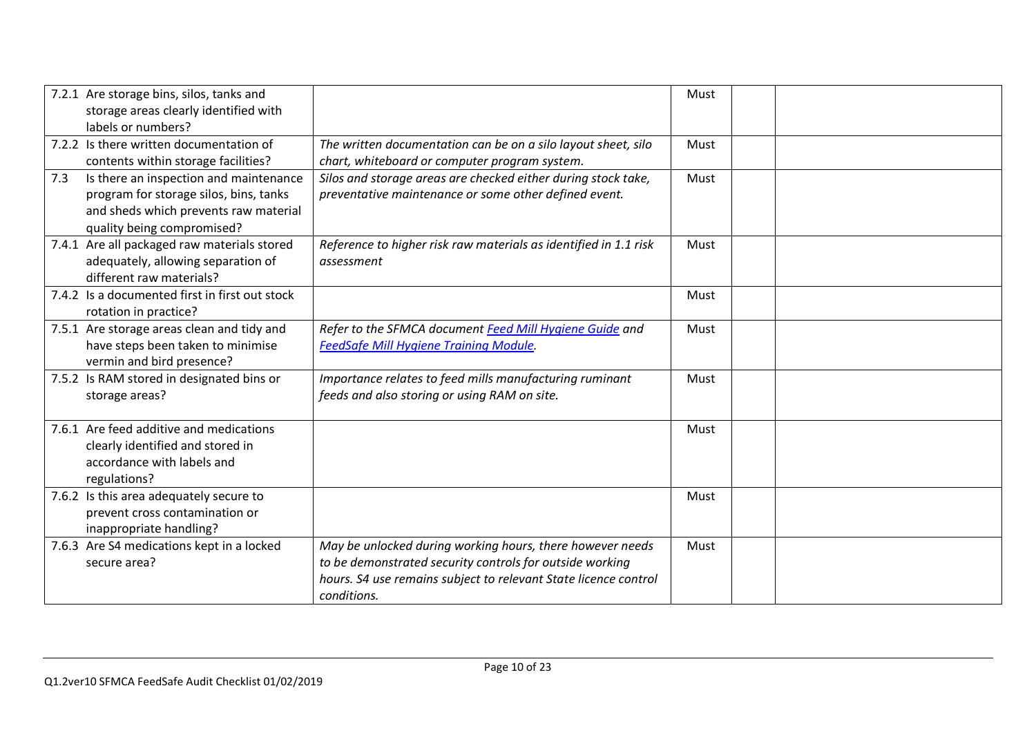|     | 7.2.1 Are storage bins, silos, tanks and<br>storage areas clearly identified with<br>labels or numbers?                                                 |                                                                                                                                                                                                         | Must |  |
|-----|---------------------------------------------------------------------------------------------------------------------------------------------------------|---------------------------------------------------------------------------------------------------------------------------------------------------------------------------------------------------------|------|--|
|     | 7.2.2 Is there written documentation of<br>contents within storage facilities?                                                                          | The written documentation can be on a silo layout sheet, silo<br>chart, whiteboard or computer program system.                                                                                          | Must |  |
| 7.3 | Is there an inspection and maintenance<br>program for storage silos, bins, tanks<br>and sheds which prevents raw material<br>quality being compromised? | Silos and storage areas are checked either during stock take,<br>preventative maintenance or some other defined event.                                                                                  | Must |  |
|     | 7.4.1 Are all packaged raw materials stored<br>adequately, allowing separation of<br>different raw materials?                                           | Reference to higher risk raw materials as identified in 1.1 risk<br>assessment                                                                                                                          | Must |  |
|     | 7.4.2 Is a documented first in first out stock<br>rotation in practice?                                                                                 |                                                                                                                                                                                                         | Must |  |
|     | 7.5.1 Are storage areas clean and tidy and<br>have steps been taken to minimise<br>vermin and bird presence?                                            | Refer to the SFMCA document Feed Mill Hygiene Guide and<br>FeedSafe Mill Hygiene Training Module.                                                                                                       | Must |  |
|     | 7.5.2 Is RAM stored in designated bins or<br>storage areas?                                                                                             | Importance relates to feed mills manufacturing ruminant<br>feeds and also storing or using RAM on site.                                                                                                 | Must |  |
|     | 7.6.1 Are feed additive and medications<br>clearly identified and stored in<br>accordance with labels and<br>regulations?                               |                                                                                                                                                                                                         | Must |  |
|     | 7.6.2 Is this area adequately secure to<br>prevent cross contamination or<br>inappropriate handling?                                                    |                                                                                                                                                                                                         | Must |  |
|     | 7.6.3 Are S4 medications kept in a locked<br>secure area?                                                                                               | May be unlocked during working hours, there however needs<br>to be demonstrated security controls for outside working<br>hours. S4 use remains subject to relevant State licence control<br>conditions. | Must |  |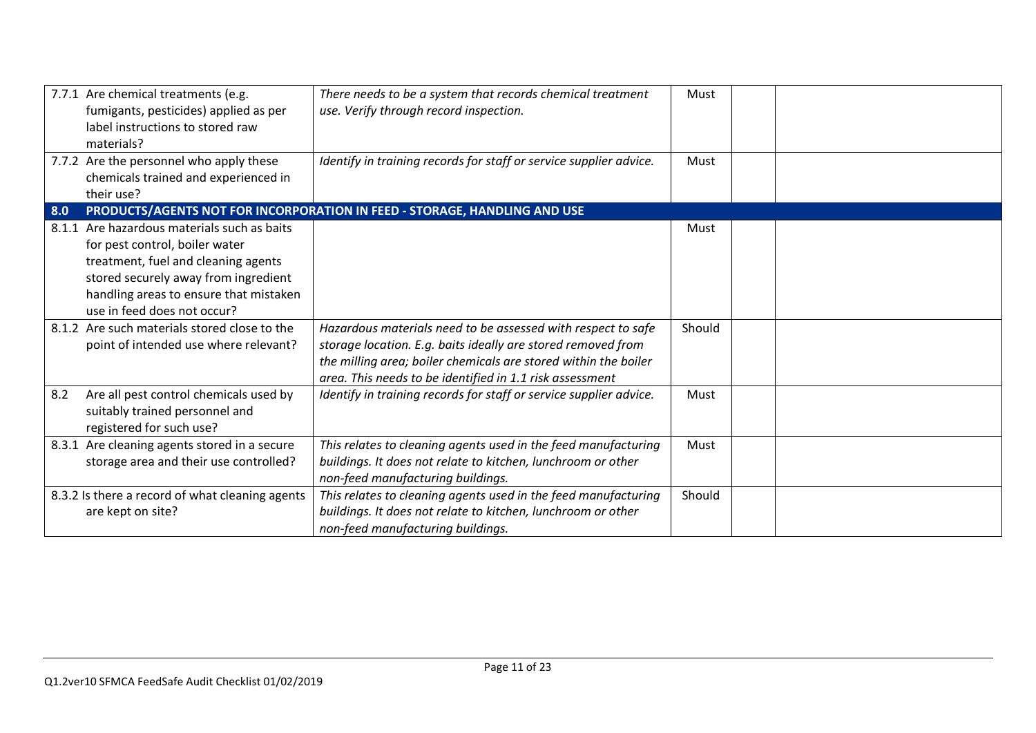| 7.7.1 Are chemical treatments (e.g.<br>fumigants, pesticides) applied as per<br>label instructions to stored raw<br>materials?                                                                                                        | There needs to be a system that records chemical treatment<br>use. Verify through record inspection.                                                                                                                                                        | Must   |  |
|---------------------------------------------------------------------------------------------------------------------------------------------------------------------------------------------------------------------------------------|-------------------------------------------------------------------------------------------------------------------------------------------------------------------------------------------------------------------------------------------------------------|--------|--|
| 7.7.2 Are the personnel who apply these<br>chemicals trained and experienced in<br>their use?                                                                                                                                         | Identify in training records for staff or service supplier advice.                                                                                                                                                                                          | Must   |  |
| 8.0                                                                                                                                                                                                                                   | PRODUCTS/AGENTS NOT FOR INCORPORATION IN FEED - STORAGE, HANDLING AND USE                                                                                                                                                                                   |        |  |
| 8.1.1 Are hazardous materials such as baits<br>for pest control, boiler water<br>treatment, fuel and cleaning agents<br>stored securely away from ingredient<br>handling areas to ensure that mistaken<br>use in feed does not occur? |                                                                                                                                                                                                                                                             | Must   |  |
| 8.1.2 Are such materials stored close to the<br>point of intended use where relevant?                                                                                                                                                 | Hazardous materials need to be assessed with respect to safe<br>storage location. E.g. baits ideally are stored removed from<br>the milling area; boiler chemicals are stored within the boiler<br>area. This needs to be identified in 1.1 risk assessment | Should |  |
| Are all pest control chemicals used by<br>8.2<br>suitably trained personnel and<br>registered for such use?                                                                                                                           | Identify in training records for staff or service supplier advice.                                                                                                                                                                                          | Must   |  |
| 8.3.1 Are cleaning agents stored in a secure<br>storage area and their use controlled?                                                                                                                                                | This relates to cleaning agents used in the feed manufacturing<br>buildings. It does not relate to kitchen, lunchroom or other<br>non-feed manufacturing buildings.                                                                                         | Must   |  |
| 8.3.2 Is there a record of what cleaning agents<br>are kept on site?                                                                                                                                                                  | This relates to cleaning agents used in the feed manufacturing<br>buildings. It does not relate to kitchen, lunchroom or other<br>non-feed manufacturing buildings.                                                                                         | Should |  |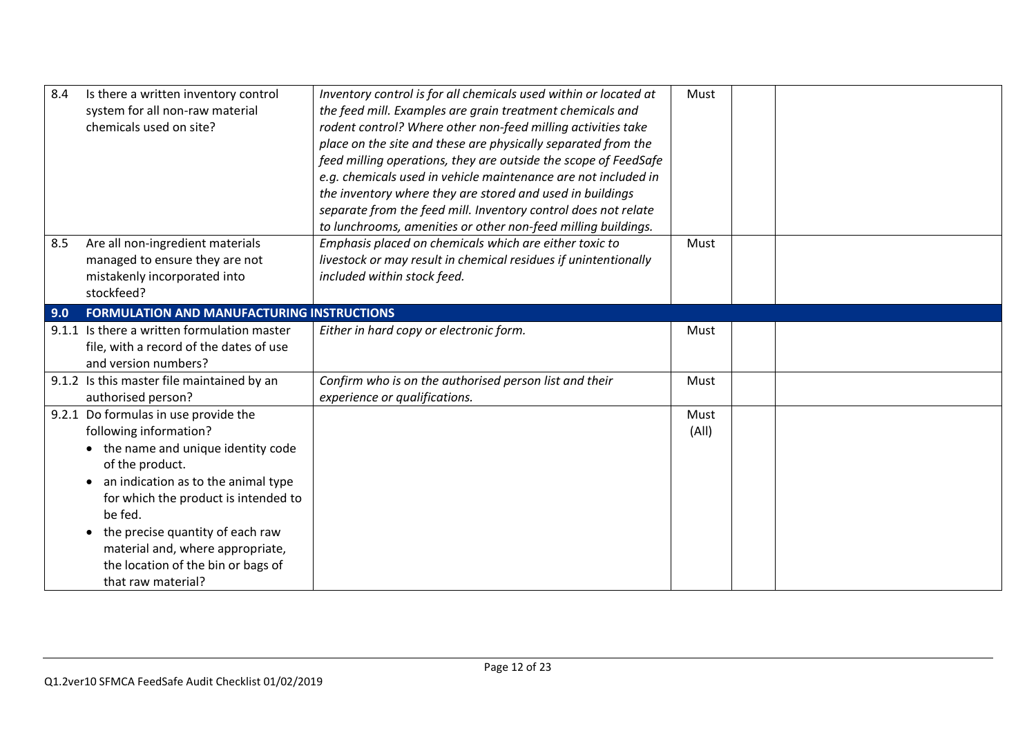| 8.4 | Is there a written inventory control              | Inventory control is for all chemicals used within or located at | Must  |  |
|-----|---------------------------------------------------|------------------------------------------------------------------|-------|--|
|     | system for all non-raw material                   | the feed mill. Examples are grain treatment chemicals and        |       |  |
|     | chemicals used on site?                           | rodent control? Where other non-feed milling activities take     |       |  |
|     |                                                   | place on the site and these are physically separated from the    |       |  |
|     |                                                   | feed milling operations, they are outside the scope of FeedSafe  |       |  |
|     |                                                   | e.g. chemicals used in vehicle maintenance are not included in   |       |  |
|     |                                                   | the inventory where they are stored and used in buildings        |       |  |
|     |                                                   | separate from the feed mill. Inventory control does not relate   |       |  |
|     |                                                   | to lunchrooms, amenities or other non-feed milling buildings.    |       |  |
| 8.5 | Are all non-ingredient materials                  | Emphasis placed on chemicals which are either toxic to           | Must  |  |
|     | managed to ensure they are not                    | livestock or may result in chemical residues if unintentionally  |       |  |
|     | mistakenly incorporated into                      | included within stock feed.                                      |       |  |
|     | stockfeed?                                        |                                                                  |       |  |
| 9.0 | <b>FORMULATION AND MANUFACTURING INSTRUCTIONS</b> |                                                                  |       |  |
|     | 9.1.1 Is there a written formulation master       | Either in hard copy or electronic form.                          | Must  |  |
|     | file, with a record of the dates of use           |                                                                  |       |  |
|     | and version numbers?                              |                                                                  |       |  |
|     | 9.1.2 Is this master file maintained by an        | Confirm who is on the authorised person list and their           | Must  |  |
|     | authorised person?                                | experience or qualifications.                                    |       |  |
|     | 9.2.1 Do formulas in use provide the              |                                                                  | Must  |  |
|     | following information?                            |                                                                  | (A  ) |  |
|     | • the name and unique identity code               |                                                                  |       |  |
|     | of the product.                                   |                                                                  |       |  |
|     | an indication as to the animal type               |                                                                  |       |  |
|     | for which the product is intended to              |                                                                  |       |  |
|     | be fed.                                           |                                                                  |       |  |
|     | the precise quantity of each raw<br>$\bullet$     |                                                                  |       |  |
|     | material and, where appropriate,                  |                                                                  |       |  |
|     | the location of the bin or bags of                |                                                                  |       |  |
|     | that raw material?                                |                                                                  |       |  |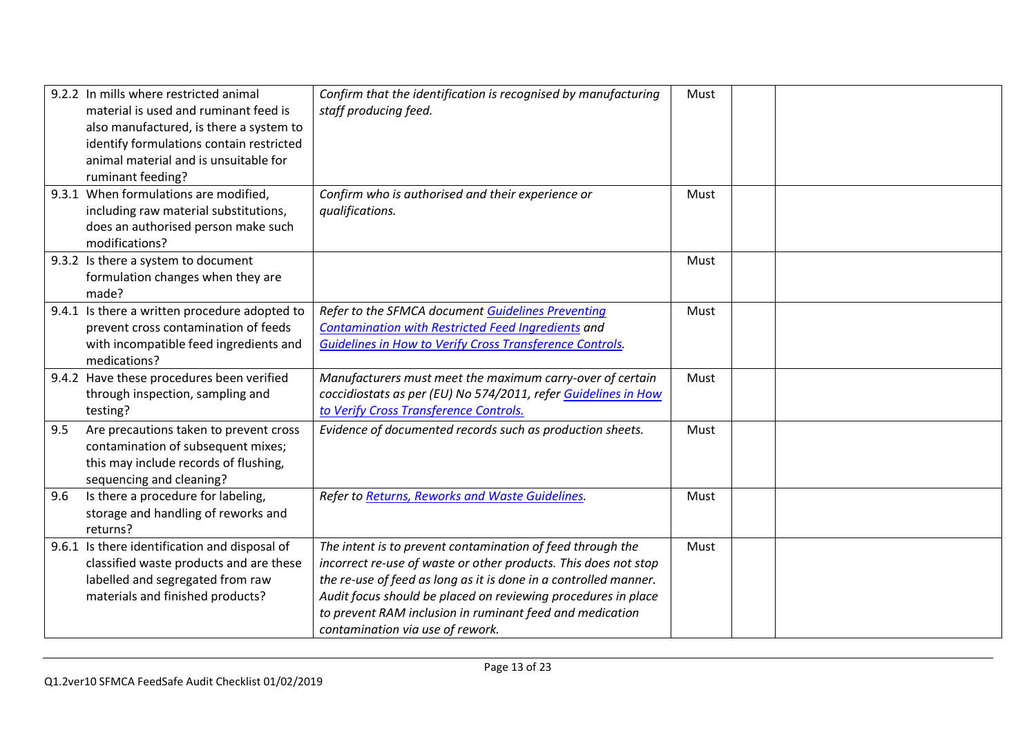|     | 9.2.2 In mills where restricted animal<br>material is used and ruminant feed is<br>also manufactured, is there a system to<br>identify formulations contain restricted<br>animal material and is unsuitable for<br>ruminant feeding? | Confirm that the identification is recognised by manufacturing<br>staff producing feed.                                                                                                                                                                                                                                                                            | Must |  |
|-----|--------------------------------------------------------------------------------------------------------------------------------------------------------------------------------------------------------------------------------------|--------------------------------------------------------------------------------------------------------------------------------------------------------------------------------------------------------------------------------------------------------------------------------------------------------------------------------------------------------------------|------|--|
|     | 9.3.1 When formulations are modified,<br>including raw material substitutions,<br>does an authorised person make such<br>modifications?                                                                                              | Confirm who is authorised and their experience or<br>qualifications.                                                                                                                                                                                                                                                                                               | Must |  |
|     | 9.3.2 Is there a system to document<br>formulation changes when they are<br>made?                                                                                                                                                    |                                                                                                                                                                                                                                                                                                                                                                    | Must |  |
|     | 9.4.1 Is there a written procedure adopted to<br>prevent cross contamination of feeds<br>with incompatible feed ingredients and<br>medications?                                                                                      | Refer to the SFMCA document Guidelines Preventing<br>Contamination with Restricted Feed Ingredients and<br>Guidelines in How to Verify Cross Transference Controls.                                                                                                                                                                                                | Must |  |
|     | 9.4.2 Have these procedures been verified<br>through inspection, sampling and<br>testing?                                                                                                                                            | Manufacturers must meet the maximum carry-over of certain<br>coccidiostats as per (EU) No 574/2011, refer Guidelines in How<br>to Verify Cross Transference Controls.                                                                                                                                                                                              | Must |  |
| 9.5 | Are precautions taken to prevent cross<br>contamination of subsequent mixes;<br>this may include records of flushing,<br>sequencing and cleaning?                                                                                    | Evidence of documented records such as production sheets.                                                                                                                                                                                                                                                                                                          | Must |  |
| 9.6 | Is there a procedure for labeling,<br>storage and handling of reworks and<br>returns?                                                                                                                                                | Refer to Returns, Reworks and Waste Guidelines.                                                                                                                                                                                                                                                                                                                    | Must |  |
|     | 9.6.1 Is there identification and disposal of<br>classified waste products and are these<br>labelled and segregated from raw<br>materials and finished products?                                                                     | The intent is to prevent contamination of feed through the<br>incorrect re-use of waste or other products. This does not stop<br>the re-use of feed as long as it is done in a controlled manner.<br>Audit focus should be placed on reviewing procedures in place<br>to prevent RAM inclusion in ruminant feed and medication<br>contamination via use of rework. | Must |  |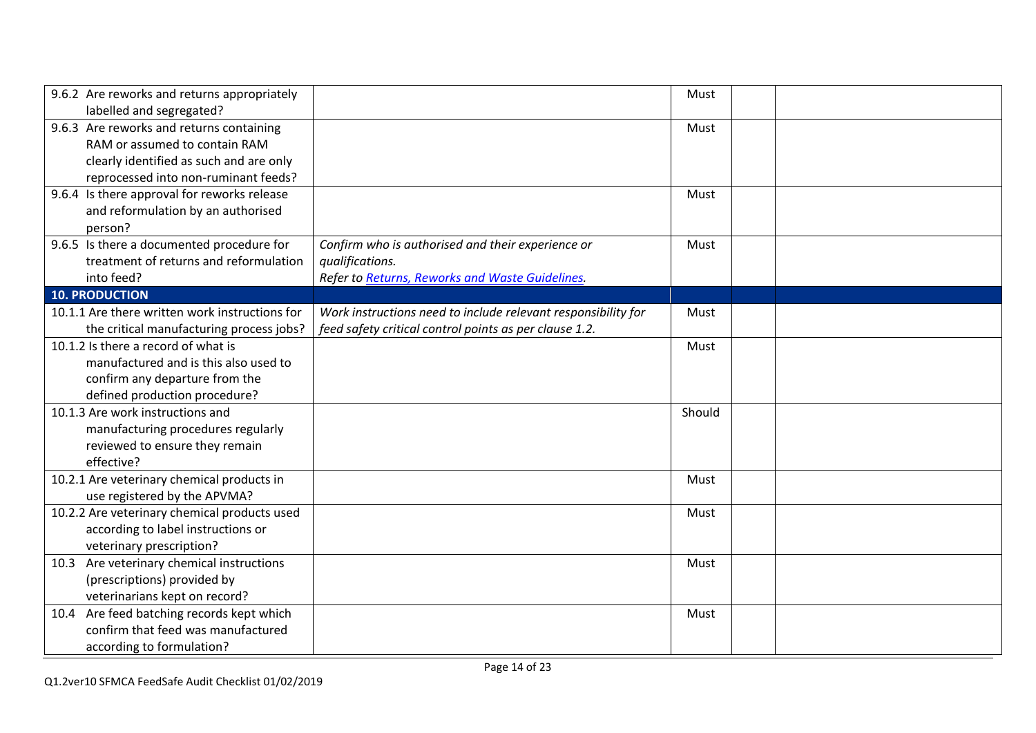| 9.6.2 Are reworks and returns appropriately                                     |                                                               | Must   |  |
|---------------------------------------------------------------------------------|---------------------------------------------------------------|--------|--|
| labelled and segregated?<br>9.6.3 Are reworks and returns containing            |                                                               | Must   |  |
| RAM or assumed to contain RAM                                                   |                                                               |        |  |
|                                                                                 |                                                               |        |  |
| clearly identified as such and are only<br>reprocessed into non-ruminant feeds? |                                                               |        |  |
|                                                                                 |                                                               |        |  |
| 9.6.4 Is there approval for reworks release                                     |                                                               | Must   |  |
| and reformulation by an authorised                                              |                                                               |        |  |
| person?                                                                         |                                                               |        |  |
| 9.6.5 Is there a documented procedure for                                       | Confirm who is authorised and their experience or             | Must   |  |
| treatment of returns and reformulation                                          | qualifications.                                               |        |  |
| into feed?                                                                      | Refer to Returns, Reworks and Waste Guidelines.               |        |  |
| <b>10. PRODUCTION</b>                                                           |                                                               |        |  |
| 10.1.1 Are there written work instructions for                                  | Work instructions need to include relevant responsibility for | Must   |  |
| the critical manufacturing process jobs?                                        | feed safety critical control points as per clause 1.2.        |        |  |
| 10.1.2 Is there a record of what is                                             |                                                               | Must   |  |
| manufactured and is this also used to                                           |                                                               |        |  |
| confirm any departure from the                                                  |                                                               |        |  |
| defined production procedure?                                                   |                                                               |        |  |
| 10.1.3 Are work instructions and                                                |                                                               | Should |  |
| manufacturing procedures regularly                                              |                                                               |        |  |
| reviewed to ensure they remain                                                  |                                                               |        |  |
| effective?                                                                      |                                                               |        |  |
| 10.2.1 Are veterinary chemical products in                                      |                                                               | Must   |  |
| use registered by the APVMA?                                                    |                                                               |        |  |
| 10.2.2 Are veterinary chemical products used                                    |                                                               | Must   |  |
| according to label instructions or                                              |                                                               |        |  |
| veterinary prescription?                                                        |                                                               |        |  |
| 10.3 Are veterinary chemical instructions                                       |                                                               | Must   |  |
| (prescriptions) provided by                                                     |                                                               |        |  |
| veterinarians kept on record?                                                   |                                                               |        |  |
| 10.4 Are feed batching records kept which                                       |                                                               | Must   |  |
| confirm that feed was manufactured                                              |                                                               |        |  |
| according to formulation?                                                       |                                                               |        |  |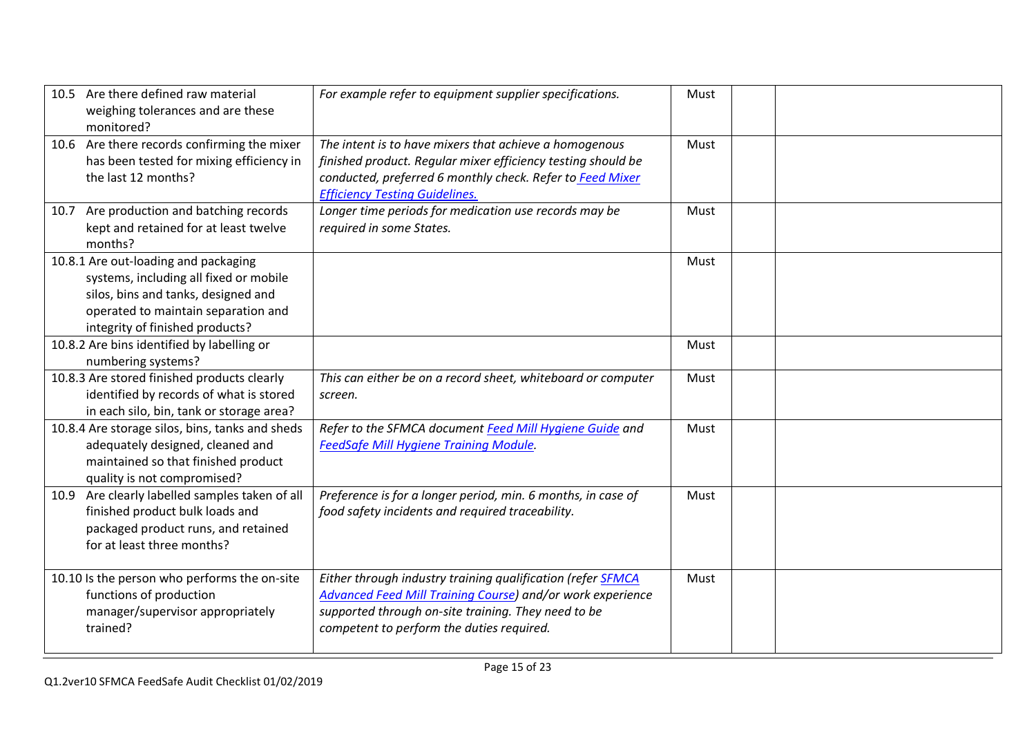| 10.5 Are there defined raw material<br>weighing tolerances and are these<br>monitored?                                                                                                          | For example refer to equipment supplier specifications.                                                                                                                                                                              | Must |  |
|-------------------------------------------------------------------------------------------------------------------------------------------------------------------------------------------------|--------------------------------------------------------------------------------------------------------------------------------------------------------------------------------------------------------------------------------------|------|--|
| 10.6 Are there records confirming the mixer<br>has been tested for mixing efficiency in<br>the last 12 months?                                                                                  | The intent is to have mixers that achieve a homogenous<br>finished product. Regular mixer efficiency testing should be<br>conducted, preferred 6 monthly check. Refer to Feed Mixer<br><b>Efficiency Testing Guidelines.</b>         | Must |  |
| 10.7 Are production and batching records<br>kept and retained for at least twelve<br>months?                                                                                                    | Longer time periods for medication use records may be<br>required in some States.                                                                                                                                                    | Must |  |
| 10.8.1 Are out-loading and packaging<br>systems, including all fixed or mobile<br>silos, bins and tanks, designed and<br>operated to maintain separation and<br>integrity of finished products? |                                                                                                                                                                                                                                      | Must |  |
| 10.8.2 Are bins identified by labelling or<br>numbering systems?                                                                                                                                |                                                                                                                                                                                                                                      | Must |  |
| 10.8.3 Are stored finished products clearly<br>identified by records of what is stored<br>in each silo, bin, tank or storage area?                                                              | This can either be on a record sheet, whiteboard or computer<br>screen.                                                                                                                                                              | Must |  |
| 10.8.4 Are storage silos, bins, tanks and sheds<br>adequately designed, cleaned and<br>maintained so that finished product<br>quality is not compromised?                                       | Refer to the SFMCA document Feed Mill Hygiene Guide and<br>FeedSafe Mill Hygiene Training Module.                                                                                                                                    | Must |  |
| 10.9 Are clearly labelled samples taken of all<br>finished product bulk loads and<br>packaged product runs, and retained<br>for at least three months?                                          | Preference is for a longer period, min. 6 months, in case of<br>food safety incidents and required traceability.                                                                                                                     | Must |  |
| 10.10 Is the person who performs the on-site<br>functions of production<br>manager/supervisor appropriately<br>trained?                                                                         | Either through industry training qualification (refer <b>SFMCA</b><br>Advanced Feed Mill Training Course) and/or work experience<br>supported through on-site training. They need to be<br>competent to perform the duties required. | Must |  |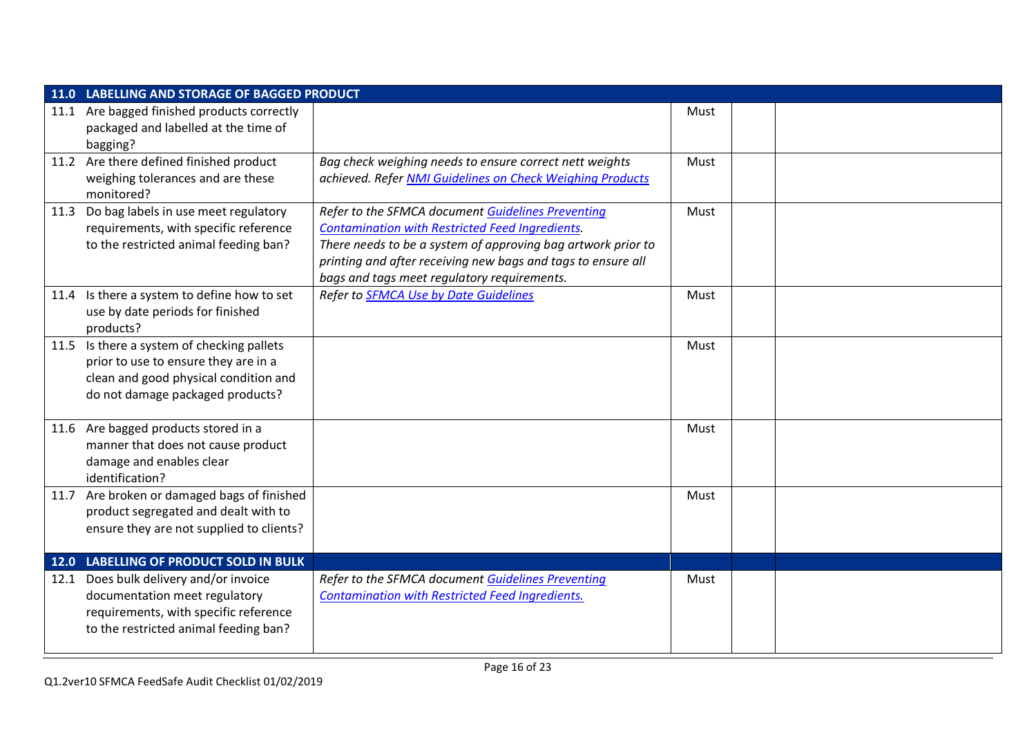| 11.0 LABELLING AND STORAGE OF BAGGED PRODUCT                                                                                                                    |                                                                                                                                                                                                                                                                                            |      |  |
|-----------------------------------------------------------------------------------------------------------------------------------------------------------------|--------------------------------------------------------------------------------------------------------------------------------------------------------------------------------------------------------------------------------------------------------------------------------------------|------|--|
| 11.1 Are bagged finished products correctly<br>packaged and labelled at the time of<br>bagging?                                                                 |                                                                                                                                                                                                                                                                                            | Must |  |
| 11.2 Are there defined finished product<br>weighing tolerances and are these<br>monitored?                                                                      | Bag check weighing needs to ensure correct nett weights<br>achieved. Refer NMI Guidelines on Check Weighing Products                                                                                                                                                                       | Must |  |
| 11.3 Do bag labels in use meet regulatory<br>requirements, with specific reference<br>to the restricted animal feeding ban?                                     | Refer to the SFMCA document Guidelines Preventing<br><b>Contamination with Restricted Feed Ingredients.</b><br>There needs to be a system of approving bag artwork prior to<br>printing and after receiving new bags and tags to ensure all<br>bags and tags meet regulatory requirements. | Must |  |
| 11.4 Is there a system to define how to set<br>use by date periods for finished<br>products?                                                                    | Refer to <b>SFMCA Use by Date Guidelines</b>                                                                                                                                                                                                                                               | Must |  |
| 11.5 Is there a system of checking pallets<br>prior to use to ensure they are in a<br>clean and good physical condition and<br>do not damage packaged products? |                                                                                                                                                                                                                                                                                            | Must |  |
| 11.6 Are bagged products stored in a<br>manner that does not cause product<br>damage and enables clear<br>identification?                                       |                                                                                                                                                                                                                                                                                            | Must |  |
| 11.7 Are broken or damaged bags of finished<br>product segregated and dealt with to<br>ensure they are not supplied to clients?                                 |                                                                                                                                                                                                                                                                                            | Must |  |
| 12.0 LABELLING OF PRODUCT SOLD IN BULK                                                                                                                          |                                                                                                                                                                                                                                                                                            |      |  |
| 12.1 Does bulk delivery and/or invoice<br>documentation meet regulatory<br>requirements, with specific reference<br>to the restricted animal feeding ban?       | Refer to the SFMCA document Guidelines Preventing<br><b>Contamination with Restricted Feed Ingredients.</b>                                                                                                                                                                                | Must |  |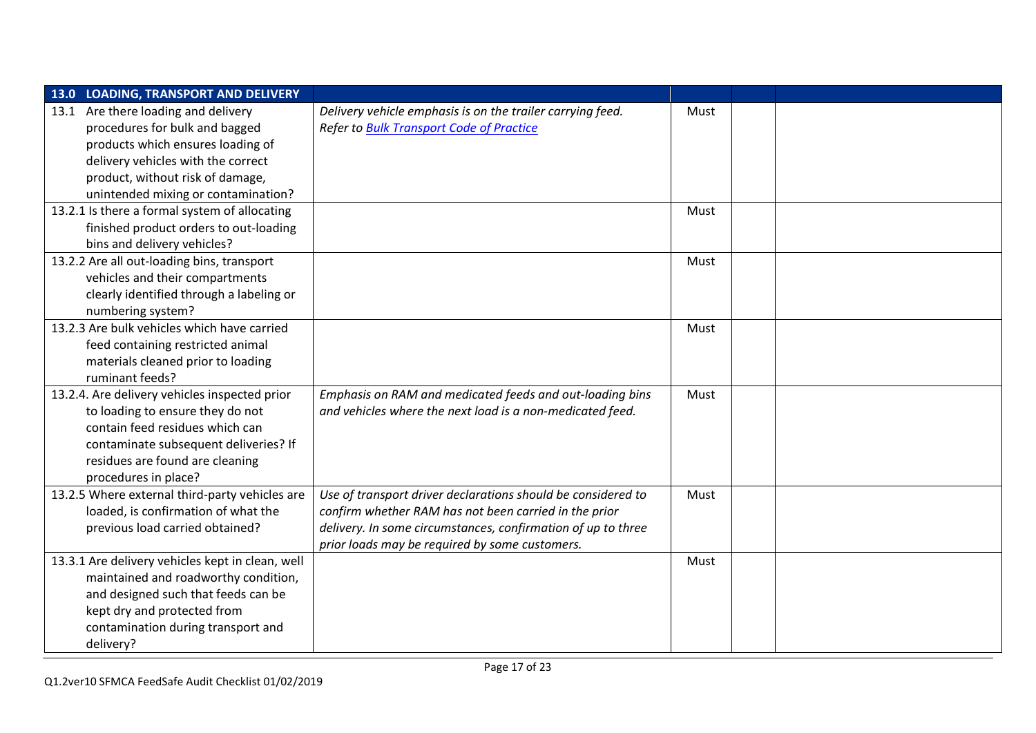| 13.0 LOADING, TRANSPORT AND DELIVERY             |                                                              |      |  |
|--------------------------------------------------|--------------------------------------------------------------|------|--|
| 13.1 Are there loading and delivery              | Delivery vehicle emphasis is on the trailer carrying feed.   | Must |  |
| procedures for bulk and bagged                   | <b>Refer to Bulk Transport Code of Practice</b>              |      |  |
| products which ensures loading of                |                                                              |      |  |
| delivery vehicles with the correct               |                                                              |      |  |
| product, without risk of damage,                 |                                                              |      |  |
| unintended mixing or contamination?              |                                                              |      |  |
| 13.2.1 Is there a formal system of allocating    |                                                              | Must |  |
| finished product orders to out-loading           |                                                              |      |  |
| bins and delivery vehicles?                      |                                                              |      |  |
| 13.2.2 Are all out-loading bins, transport       |                                                              | Must |  |
| vehicles and their compartments                  |                                                              |      |  |
| clearly identified through a labeling or         |                                                              |      |  |
| numbering system?                                |                                                              |      |  |
| 13.2.3 Are bulk vehicles which have carried      |                                                              | Must |  |
| feed containing restricted animal                |                                                              |      |  |
| materials cleaned prior to loading               |                                                              |      |  |
| ruminant feeds?                                  |                                                              |      |  |
| 13.2.4. Are delivery vehicles inspected prior    | Emphasis on RAM and medicated feeds and out-loading bins     | Must |  |
| to loading to ensure they do not                 | and vehicles where the next load is a non-medicated feed.    |      |  |
| contain feed residues which can                  |                                                              |      |  |
| contaminate subsequent deliveries? If            |                                                              |      |  |
| residues are found are cleaning                  |                                                              |      |  |
| procedures in place?                             |                                                              |      |  |
| 13.2.5 Where external third-party vehicles are   | Use of transport driver declarations should be considered to | Must |  |
| loaded, is confirmation of what the              | confirm whether RAM has not been carried in the prior        |      |  |
| previous load carried obtained?                  | delivery. In some circumstances, confirmation of up to three |      |  |
|                                                  | prior loads may be required by some customers.               |      |  |
| 13.3.1 Are delivery vehicles kept in clean, well |                                                              | Must |  |
| maintained and roadworthy condition,             |                                                              |      |  |
| and designed such that feeds can be              |                                                              |      |  |
| kept dry and protected from                      |                                                              |      |  |
| contamination during transport and               |                                                              |      |  |
| delivery?                                        |                                                              |      |  |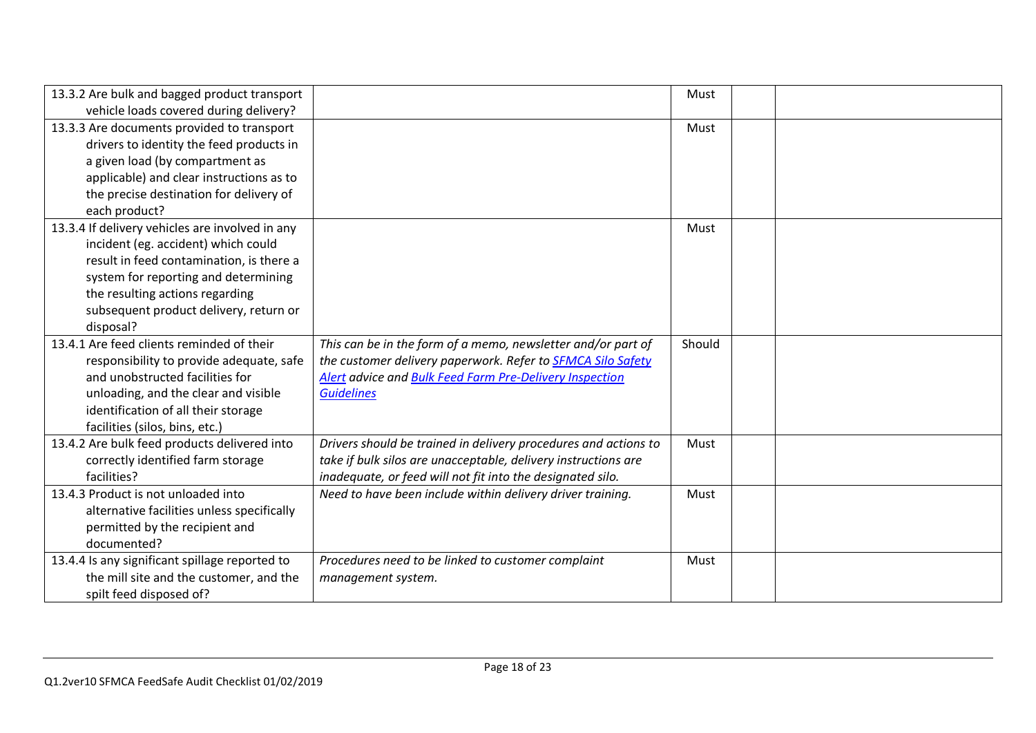| 13.3.2 Are bulk and bagged product transport    |                                                                    | Must   |  |
|-------------------------------------------------|--------------------------------------------------------------------|--------|--|
| vehicle loads covered during delivery?          |                                                                    |        |  |
| 13.3.3 Are documents provided to transport      |                                                                    | Must   |  |
| drivers to identity the feed products in        |                                                                    |        |  |
| a given load (by compartment as                 |                                                                    |        |  |
| applicable) and clear instructions as to        |                                                                    |        |  |
| the precise destination for delivery of         |                                                                    |        |  |
| each product?                                   |                                                                    |        |  |
| 13.3.4 If delivery vehicles are involved in any |                                                                    | Must   |  |
| incident (eg. accident) which could             |                                                                    |        |  |
| result in feed contamination, is there a        |                                                                    |        |  |
| system for reporting and determining            |                                                                    |        |  |
| the resulting actions regarding                 |                                                                    |        |  |
| subsequent product delivery, return or          |                                                                    |        |  |
| disposal?                                       |                                                                    |        |  |
| 13.4.1 Are feed clients reminded of their       | This can be in the form of a memo, newsletter and/or part of       | Should |  |
| responsibility to provide adequate, safe        | the customer delivery paperwork. Refer to <b>SFMCA Silo Safety</b> |        |  |
| and unobstructed facilities for                 | <b>Alert advice and Bulk Feed Farm Pre-Delivery Inspection</b>     |        |  |
| unloading, and the clear and visible            | <b>Guidelines</b>                                                  |        |  |
| identification of all their storage             |                                                                    |        |  |
| facilities (silos, bins, etc.)                  |                                                                    |        |  |
| 13.4.2 Are bulk feed products delivered into    | Drivers should be trained in delivery procedures and actions to    | Must   |  |
| correctly identified farm storage               | take if bulk silos are unacceptable, delivery instructions are     |        |  |
| facilities?                                     | inadequate, or feed will not fit into the designated silo.         |        |  |
| 13.4.3 Product is not unloaded into             | Need to have been include within delivery driver training.         | Must   |  |
| alternative facilities unless specifically      |                                                                    |        |  |
| permitted by the recipient and                  |                                                                    |        |  |
| documented?                                     |                                                                    |        |  |
| 13.4.4 Is any significant spillage reported to  | Procedures need to be linked to customer complaint                 | Must   |  |
| the mill site and the customer, and the         | management system.                                                 |        |  |
| spilt feed disposed of?                         |                                                                    |        |  |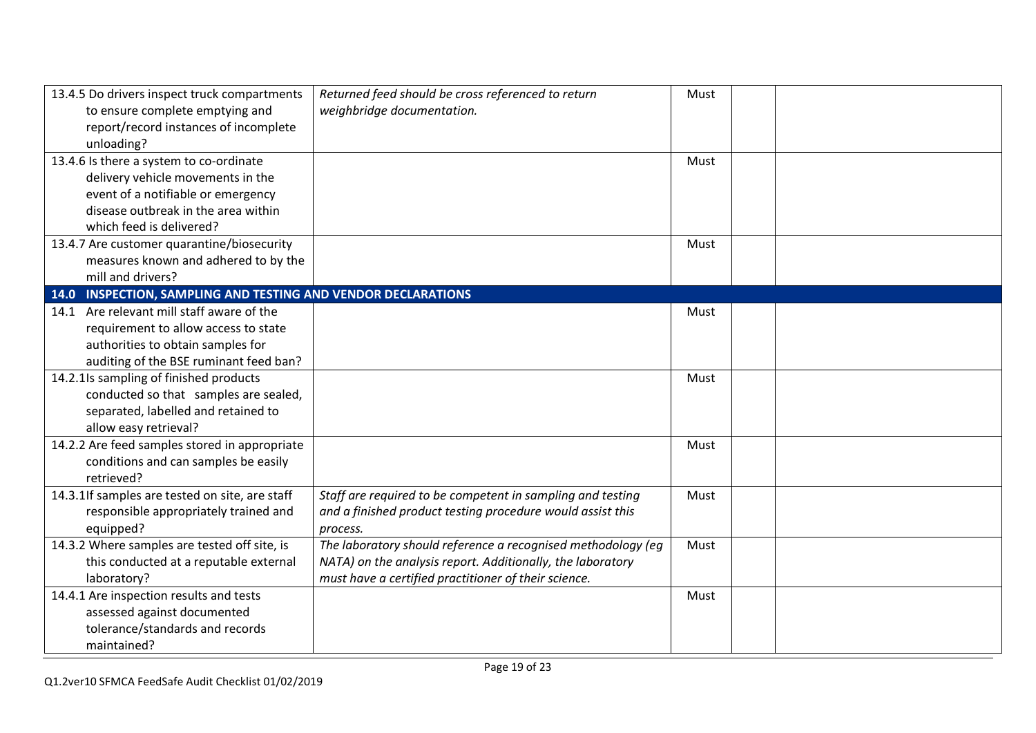| 13.4.5 Do drivers inspect truck compartments                  | Returned feed should be cross referenced to return           | Must |  |
|---------------------------------------------------------------|--------------------------------------------------------------|------|--|
| to ensure complete emptying and                               | weighbridge documentation.                                   |      |  |
| report/record instances of incomplete                         |                                                              |      |  |
| unloading?                                                    |                                                              |      |  |
| 13.4.6 Is there a system to co-ordinate                       |                                                              | Must |  |
| delivery vehicle movements in the                             |                                                              |      |  |
| event of a notifiable or emergency                            |                                                              |      |  |
| disease outbreak in the area within                           |                                                              |      |  |
| which feed is delivered?                                      |                                                              |      |  |
| 13.4.7 Are customer quarantine/biosecurity                    |                                                              | Must |  |
| measures known and adhered to by the                          |                                                              |      |  |
| mill and drivers?                                             |                                                              |      |  |
| 14.0 INSPECTION, SAMPLING AND TESTING AND VENDOR DECLARATIONS |                                                              |      |  |
| 14.1 Are relevant mill staff aware of the                     |                                                              | Must |  |
| requirement to allow access to state                          |                                                              |      |  |
| authorities to obtain samples for                             |                                                              |      |  |
| auditing of the BSE ruminant feed ban?                        |                                                              |      |  |
| 14.2.1 Is sampling of finished products                       |                                                              | Must |  |
| conducted so that samples are sealed,                         |                                                              |      |  |
| separated, labelled and retained to                           |                                                              |      |  |
| allow easy retrieval?                                         |                                                              |      |  |
| 14.2.2 Are feed samples stored in appropriate                 |                                                              | Must |  |
| conditions and can samples be easily                          |                                                              |      |  |
| retrieved?                                                    |                                                              |      |  |
| 14.3.1If samples are tested on site, are staff                | Staff are required to be competent in sampling and testing   | Must |  |
| responsible appropriately trained and                         | and a finished product testing procedure would assist this   |      |  |
| equipped?                                                     | process.                                                     |      |  |
| 14.3.2 Where samples are tested off site, is                  | The laboratory should reference a recognised methodology (eg | Must |  |
| this conducted at a reputable external                        | NATA) on the analysis report. Additionally, the laboratory   |      |  |
| laboratory?                                                   | must have a certified practitioner of their science.         |      |  |
| 14.4.1 Are inspection results and tests                       |                                                              | Must |  |
| assessed against documented                                   |                                                              |      |  |
| tolerance/standards and records                               |                                                              |      |  |
| maintained?                                                   |                                                              |      |  |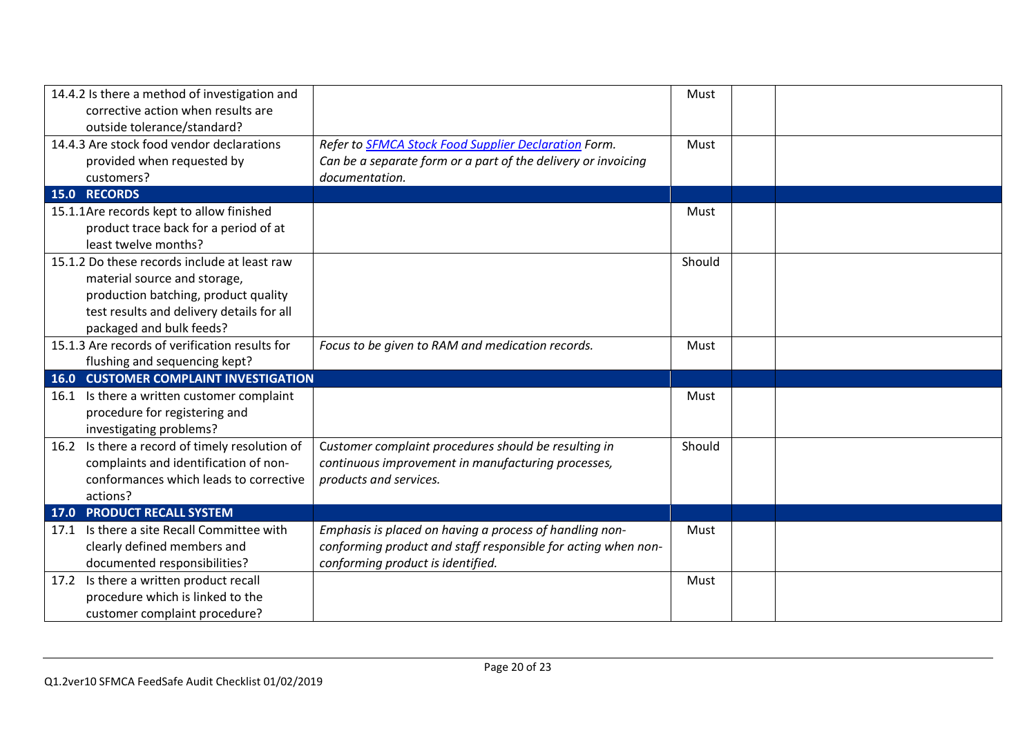| 14.4.2 Is there a method of investigation and  |                                                               | Must   |  |
|------------------------------------------------|---------------------------------------------------------------|--------|--|
| corrective action when results are             |                                                               |        |  |
| outside tolerance/standard?                    |                                                               |        |  |
| 14.4.3 Are stock food vendor declarations      | Refer to SFMCA Stock Food Supplier Declaration Form.          | Must   |  |
| provided when requested by                     | Can be a separate form or a part of the delivery or invoicing |        |  |
| customers?                                     | documentation.                                                |        |  |
| 15.0 RECORDS                                   |                                                               |        |  |
| 15.1.1Are records kept to allow finished       |                                                               | Must   |  |
| product trace back for a period of at          |                                                               |        |  |
| least twelve months?                           |                                                               |        |  |
| 15.1.2 Do these records include at least raw   |                                                               | Should |  |
| material source and storage,                   |                                                               |        |  |
| production batching, product quality           |                                                               |        |  |
| test results and delivery details for all      |                                                               |        |  |
| packaged and bulk feeds?                       |                                                               |        |  |
| 15.1.3 Are records of verification results for | Focus to be given to RAM and medication records.              | Must   |  |
| flushing and sequencing kept?                  |                                                               |        |  |
| <b>16.0 CUSTOMER COMPLAINT INVESTIGATION</b>   |                                                               |        |  |
| 16.1 Is there a written customer complaint     |                                                               | Must   |  |
| procedure for registering and                  |                                                               |        |  |
| investigating problems?                        |                                                               |        |  |
| 16.2 Is there a record of timely resolution of | Customer complaint procedures should be resulting in          | Should |  |
| complaints and identification of non-          | continuous improvement in manufacturing processes,            |        |  |
| conformances which leads to corrective         | products and services.                                        |        |  |
| actions?                                       |                                                               |        |  |
| <b>17.0 PRODUCT RECALL SYSTEM</b>              |                                                               |        |  |
| Is there a site Recall Committee with<br>17.1  | Emphasis is placed on having a process of handling non-       | Must   |  |
| clearly defined members and                    | conforming product and staff responsible for acting when non- |        |  |
| documented responsibilities?                   | conforming product is identified.                             |        |  |
| 17.2 Is there a written product recall         |                                                               | Must   |  |
| procedure which is linked to the               |                                                               |        |  |
| customer complaint procedure?                  |                                                               |        |  |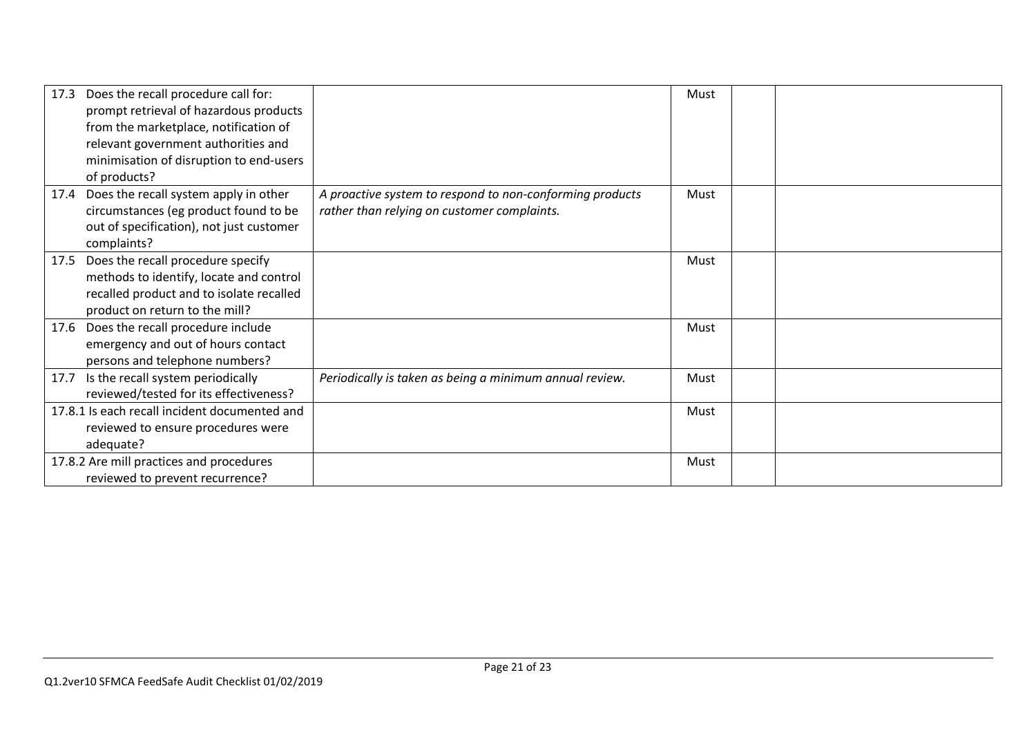| Does the recall procedure call for:<br>17.3<br>prompt retrieval of hazardous products<br>from the marketplace, notification of<br>relevant government authorities and<br>minimisation of disruption to end-users<br>of products? |                                                                                                         | Must |  |
|----------------------------------------------------------------------------------------------------------------------------------------------------------------------------------------------------------------------------------|---------------------------------------------------------------------------------------------------------|------|--|
| Does the recall system apply in other<br>17.4<br>circumstances (eg product found to be<br>out of specification), not just customer<br>complaints?                                                                                | A proactive system to respond to non-conforming products<br>rather than relying on customer complaints. | Must |  |
| 17.5 Does the recall procedure specify<br>methods to identify, locate and control<br>recalled product and to isolate recalled<br>product on return to the mill?                                                                  |                                                                                                         | Must |  |
| 17.6 Does the recall procedure include<br>emergency and out of hours contact<br>persons and telephone numbers?                                                                                                                   |                                                                                                         | Must |  |
| 17.7 Is the recall system periodically<br>reviewed/tested for its effectiveness?                                                                                                                                                 | Periodically is taken as being a minimum annual review.                                                 | Must |  |
| 17.8.1 Is each recall incident documented and<br>reviewed to ensure procedures were<br>adequate?                                                                                                                                 |                                                                                                         | Must |  |
| 17.8.2 Are mill practices and procedures<br>reviewed to prevent recurrence?                                                                                                                                                      |                                                                                                         | Must |  |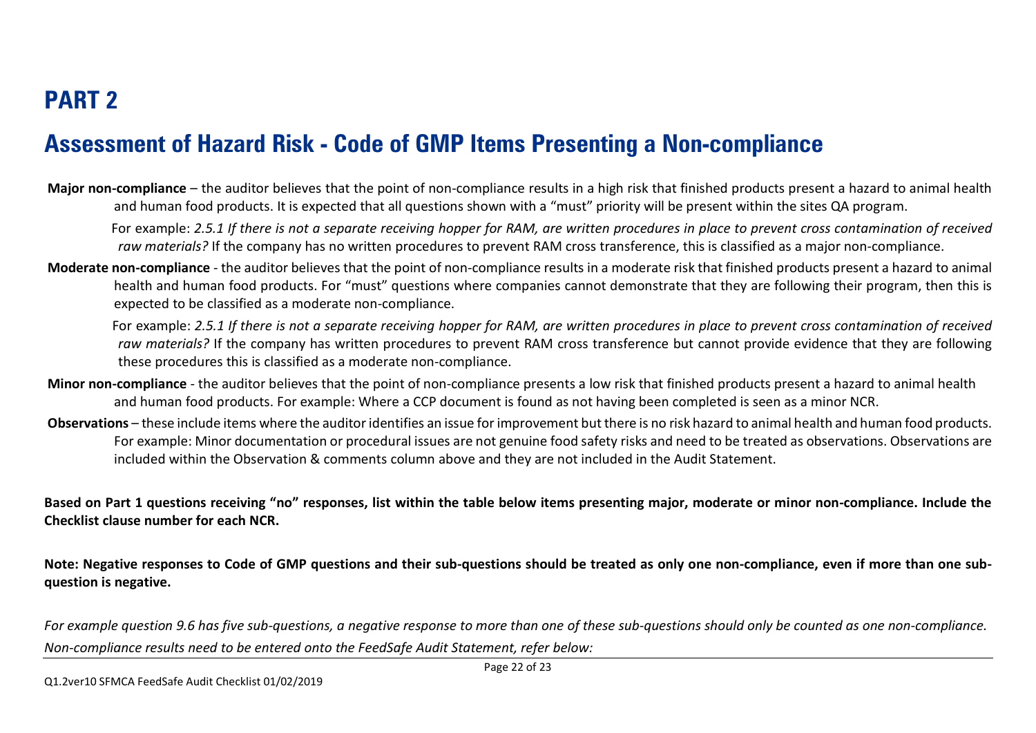#### **Assessment of Hazard Risk - Code of GMP Items Presenting a Non-compliance**

**Major non-compliance** – the auditor believes that the point of non-compliance results in a high risk that finished products present a hazard to animal health and human food products. It is expected that all questions shown with a "must" priority will be present within the sites QA program.

 For example: *2.5.1 If there is not a separate receiving hopper for RAM, are written procedures in place to prevent cross contamination of received raw materials?* If the company has no written procedures to prevent RAM cross transference, this is classified as a major non-compliance.

**Moderate non-compliance** - the auditor believes that the point of non-compliance results in a moderate risk that finished products present a hazard to animal health and human food products. For "must" questions where companies cannot demonstrate that they are following their program, then this is expected to be classified as a moderate non-compliance.

 For example: *2.5.1 If there is not a separate receiving hopper for RAM, are written procedures in place to prevent cross contamination of received raw materials?* If the company has written procedures to prevent RAM cross transference but cannot provide evidence that they are following these procedures this is classified as a moderate non-compliance.

- **Minor non-compliance** the auditor believes that the point of non-compliance presents a low risk that finished products present a hazard to animal health and human food products. For example: Where a CCP document is found as not having been completed is seen as a minor NCR.
- **Observations** these include items where the auditor identifies an issue for improvement but there is no risk hazard to animal health and human food products. For example: Minor documentation or procedural issues are not genuine food safety risks and need to be treated as observations. Observations are included within the Observation & comments column above and they are not included in the Audit Statement.

**Based on Part 1 questions receiving "no" responses, list within the table below items presenting major, moderate or minor non-compliance. Include the Checklist clause number for each NCR.**

**Note: Negative responses to Code of GMP questions and their sub-questions should be treated as only one non-compliance, even if more than one subquestion is negative.**

*For example question 9.6 has five sub-questions, a negative response to more than one of these sub-questions should only be counted as one non-compliance. Non-compliance results need to be entered onto the FeedSafe Audit Statement, refer below:*